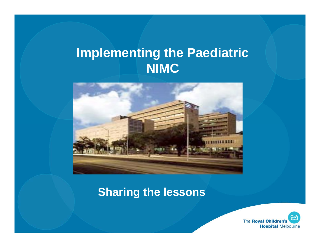## **Implementing the Paediatric NIMC**



#### **Sharing the lessons**

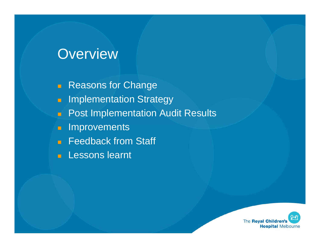### Overview

- **Reasons for Change**
- **E** Implementation Strategy
- **Post Implementation Audit Results**
- $\blacksquare$ Improvements
- **Feedback from Staff**
- **Lessons learnt**

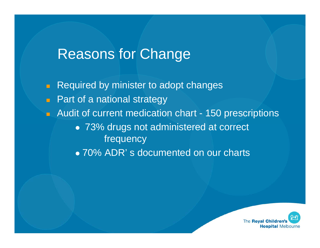### Reasons for Change

 $\blacksquare$  Required by minister to adopt changes **Part of a national strategy Audit of current medication chart - 150 prescriptions**  73% drugs not administered at correct frequency • 70% ADR's documented on our charts

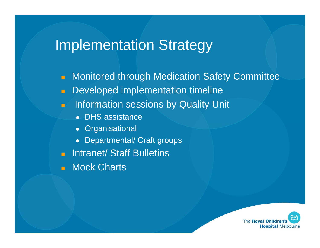# Implementation Strategy

- $\Box$ Monitored through Medication Safety Committee
- $\blacksquare$ Developed implementation timeline
- $\blacksquare$  Information sessions by Quality Unit
	- DHS assistance
	- Organisational
	- $\bullet$ Departmental/ Craft groups
- **E** Intranet/ Staff Bulletins
- H. Mock Charts

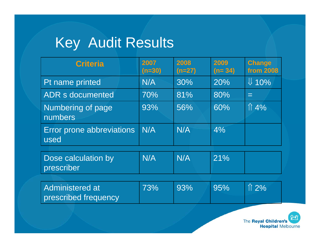# Key Audit Results

| <b>Criteria</b>                                | 2007<br>$(n=30)$ | 2008<br>$(n=27)$ | 2009<br>$(n=34)$ | <b>Change</b><br><b>from 2008</b> |
|------------------------------------------------|------------------|------------------|------------------|-----------------------------------|
| Pt name printed                                | N/A              | 30%              | 20%              | $\downarrow$ 10%                  |
| <b>ADR s documented</b>                        | 70%              | 81%              | 80%              | $=$                               |
| Numbering of page<br>numbers                   | 93%              | 56%              | 60%              | $\hat{1}$ 4%                      |
| Error prone abbreviations<br>used              | N/A              | N/A              | $4\%$            |                                   |
| Dose calculation by<br>prescriber              | N/A              | N/A              | 21%              |                                   |
| <b>Administered at</b><br>prescribed frequency | 73%              | 93%              | 95%              | $\uparrow$ 2%                     |

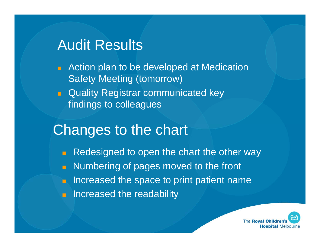# Audit Results

- **E** Action plan to be developed at Medication Safety Meeting (tomorrow)
- **Quality Registrar communicated key** findings to colleagues

# Changes to the chart

 $\blacksquare$  Redesigned to open the chart the other way  $\blacksquare$  Numbering of pages moved to the front  $\Box$  Increased the space to print patient name **Increased the readability** 

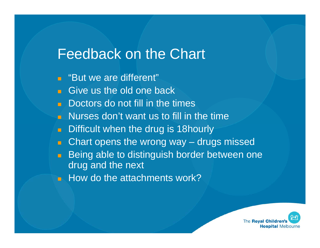### Feedback on the Chart

- **E** "But we are different"
- **Give us the old one back**
- **Doctors do not fill in the times**
- **Nurses don't want us to fill in the time**
- $\mathbf{H}^{\text{max}}$ Difficult when the drug is 18hourly
- Chart opens the wrong way drugs missed
- **O** Being able to distinguish border between one drug and the next
- $\blacksquare$  How do the attachments work?